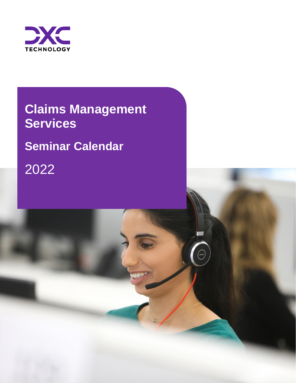

# **Claims Management Services**

**Seminar Calendar** 

2022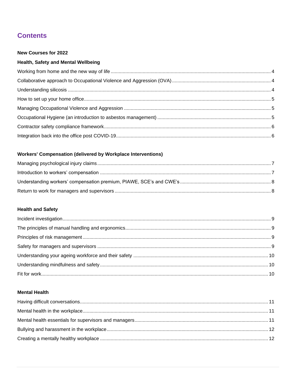## **Contents**

#### **New Courses for 2022**

## Health, Safety and Mental Wellbeing

## **Workers' Compensation (delivered by Workplace Interventions)**

## **Health and Safety**

#### **Mental Health**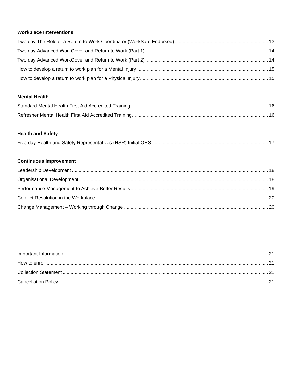### **Workplace Interventions**

#### **Mental Health**

#### **Health and Safety**

|--|--|

### **Continuous Improvement**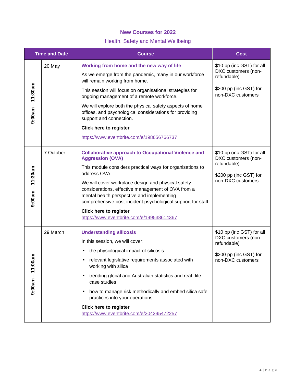### **New Courses for 2022**

## <span id="page-3-3"></span><span id="page-3-2"></span>Health, Safety and Mental Wellbeing

<span id="page-3-4"></span><span id="page-3-1"></span><span id="page-3-0"></span>

| <b>Time and Date</b>  |           | <b>Course</b>                                                                                                                                                                                                                                                                                                                                                                                                                                                              | <b>Cost</b>                                                                                                    |
|-----------------------|-----------|----------------------------------------------------------------------------------------------------------------------------------------------------------------------------------------------------------------------------------------------------------------------------------------------------------------------------------------------------------------------------------------------------------------------------------------------------------------------------|----------------------------------------------------------------------------------------------------------------|
| $9:00$ am $-11:30$ am | 20 May    | Working from home and the new way of life<br>As we emerge from the pandemic, many in our workforce<br>will remain working from home.<br>This session will focus on organisational strategies for<br>ongoing management of a remote workforce.<br>We will explore both the physical safety aspects of home<br>offices, and psychological considerations for providing<br>support and connection.                                                                            | \$10 pp (inc GST) for all<br>DXC customers (non-<br>refundable)<br>\$200 pp (inc GST) for<br>non-DXC customers |
|                       |           | <b>Click here to register</b><br>https://www.eventbrite.com/e/198656766737                                                                                                                                                                                                                                                                                                                                                                                                 |                                                                                                                |
| $9:00$ am – 11:30am   | 7 October | <b>Collaborative approach to Occupational Violence and</b><br><b>Aggression (OVA)</b><br>This module considers practical ways for organisations to<br>address OVA.<br>We will cover workplace design and physical safety<br>considerations, effective management of OVA from a<br>mental health perspective and implementing<br>comprehensive post-incident psychological support for staff.<br><b>Click here to register</b><br>https://www.eventbrite.com/e/199538614367 | \$10 pp (inc GST) for all<br>DXC customers (non-<br>refundable)<br>\$200 pp (inc GST) for<br>non-DXC customers |
| 0am<br>$0:11 - 11.0$  | 29 March  | <b>Understanding silicosis</b><br>In this session, we will cover:<br>the physiological impact of silicosis<br>relevant legislative requirements associated with<br>working with silica<br>trending global and Australian statistics and real-life<br>case studies<br>how to manage risk methodically and embed silica safe<br>practices into your operations.<br><b>Click here to register</b><br>https://www.eventbrite.com/e/204295472257                                | \$10 pp (inc GST) for all<br>DXC customers (non-<br>refundable)<br>\$200 pp (inc GST) for<br>non-DXC customers |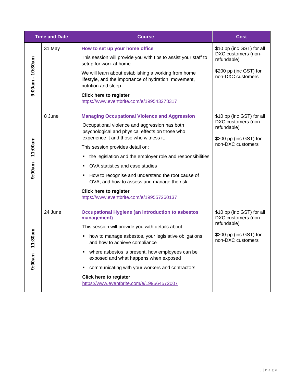<span id="page-4-2"></span><span id="page-4-1"></span><span id="page-4-0"></span>

| <b>Time and Date</b>   |         | <b>Course</b>                                                                                                                                                                                                                                                                                                                                                                                                                                                                                                              | <b>Cost</b>                                                                                                    |
|------------------------|---------|----------------------------------------------------------------------------------------------------------------------------------------------------------------------------------------------------------------------------------------------------------------------------------------------------------------------------------------------------------------------------------------------------------------------------------------------------------------------------------------------------------------------------|----------------------------------------------------------------------------------------------------------------|
| $9:00$ am - 10:30am    | 31 May  | How to set up your home office<br>This session will provide you with tips to assist your staff to<br>setup for work at home.<br>We will learn about establishing a working from home<br>lifestyle, and the importance of hydration, movement,<br>nutrition and sleep.<br><b>Click here to register</b><br>https://www.eventbrite.com/e/199543278317                                                                                                                                                                        | \$10 pp (inc GST) for all<br>DXC customers (non-<br>refundable)<br>\$200 pp (inc GST) for<br>non-DXC customers |
| $9:00$ am – 11:00am    | 8 June  | <b>Managing Occupational Violence and Aggression</b><br>Occupational violence and aggression has both<br>psychological and physical effects on those who<br>experience it and those who witness it.<br>This session provides detail on:<br>the legislation and the employer role and responsibilities<br>OVA statistics and case studies<br>How to recognise and understand the root cause of<br>OVA, and how to assess and manage the risk.<br><b>Click here to register</b><br>https://www.eventbrite.com/e/199557260137 | \$10 pp (inc GST) for all<br>DXC customers (non-<br>refundable)<br>\$200 pp (inc GST) for<br>non-DXC customers |
| 11:30am<br>L<br>9:00am | 24 June | <b>Occupational Hygiene (an introduction to asbestos</b><br>management)<br>This session will provide you with details about:<br>how to manage asbestos, your legislative obligations<br>and how to achieve compliance<br>where asbestos is present, how employees can be<br>exposed and what happens when exposed<br>communicating with your workers and contractors.<br><b>Click here to register</b><br>https://www.eventbrite.com/e/199564572007                                                                        | \$10 pp (inc GST) for all<br>DXC customers (non-<br>refundable)<br>\$200 pp (inc GST) for<br>non-DXC customers |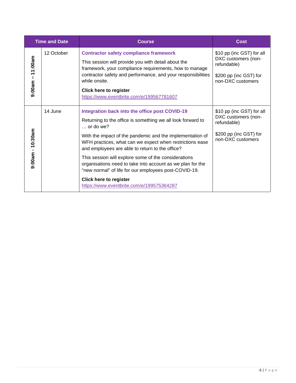<span id="page-5-1"></span><span id="page-5-0"></span>

| <b>Time and Date</b> |            | <b>Course</b>                                                                                                                                                                                                                                                                                                                                                                                                                                                                                                                                                                | Cost                                                                                                           |
|----------------------|------------|------------------------------------------------------------------------------------------------------------------------------------------------------------------------------------------------------------------------------------------------------------------------------------------------------------------------------------------------------------------------------------------------------------------------------------------------------------------------------------------------------------------------------------------------------------------------------|----------------------------------------------------------------------------------------------------------------|
| $9:00$ am – 11:00am  | 12 October | <b>Contractor safety compliance framework</b><br>This session will provide you with detail about the<br>framework, your compliance requirements, how to manage<br>contractor safety and performance, and your responsibilities<br>while onsite.<br><b>Click here to register</b><br>https://www.eventbrite.com/e/199567781607                                                                                                                                                                                                                                                | \$10 pp (inc GST) for all<br>DXC customers (non-<br>refundable)<br>\$200 pp (inc GST) for<br>non-DXC customers |
| $9:00$ am - 10:30am  | 14 June    | Integration back into the office post COVID-19<br>Returning to the office is something we all look forward to<br>$\ldots$ or do we?<br>With the impact of the pandemic and the implementation of<br>WFH practices, what can we expect when restrictions ease<br>and employees are able to return to the office?<br>This session will explore some of the considerations<br>organisations need to take into account as we plan for the<br>"new normal" of life for our employees post-COVID-19.<br><b>Click here to register</b><br>https://www.eventbrite.com/e/199575364287 | \$10 pp (inc GST) for all<br>DXC customers (non-<br>refundable)<br>\$200 pp (inc GST) for<br>non-DXC customers |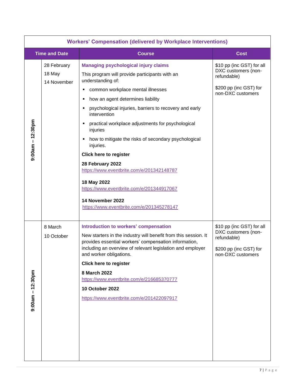<span id="page-6-1"></span><span id="page-6-0"></span>

| <b>Workers' Compensation (delivered by Workplace Interventions)</b> |                                      |                                                                                                                                                                                                                                                                                                                                                                                                                                                                                                                                                                                                                                                                      |                                                                                                                |  |
|---------------------------------------------------------------------|--------------------------------------|----------------------------------------------------------------------------------------------------------------------------------------------------------------------------------------------------------------------------------------------------------------------------------------------------------------------------------------------------------------------------------------------------------------------------------------------------------------------------------------------------------------------------------------------------------------------------------------------------------------------------------------------------------------------|----------------------------------------------------------------------------------------------------------------|--|
|                                                                     | <b>Time and Date</b>                 | <b>Course</b>                                                                                                                                                                                                                                                                                                                                                                                                                                                                                                                                                                                                                                                        | <b>Cost</b>                                                                                                    |  |
| $9:00$ am – 12:30pm                                                 | 28 February<br>18 May<br>14 November | <b>Managing psychological injury claims</b><br>This program will provide participants with an<br>understanding of:<br>common workplace mental illnesses<br>٠<br>how an agent determines liability<br>Е<br>psychological injuries, barriers to recovery and early<br>٠<br>intervention<br>practical workplace adjustments for psychological<br>٠<br>injuries<br>how to mitigate the risks of secondary psychological<br>٠<br>injuries.<br><b>Click here to register</b><br>28 February 2022<br>https://www.eventbrite.com/e/201342148787<br>18 May 2022<br>https://www.eventbrite.com/e/201344917067<br>14 November 2022<br>https://www.eventbrite.com/e/201345278147 | \$10 pp (inc GST) for all<br>DXC customers (non-<br>refundable)<br>\$200 pp (inc GST) for<br>non-DXC customers |  |
| $9:00$ am – 12:30pm                                                 | 8 March<br>10 October                | Introduction to workers' compensation<br>New starters in the industry will benefit from this session. It<br>provides essential workers' compensation information,<br>including an overview of relevant legislation and employer<br>and worker obligations.<br><b>Click here to register</b><br>8 March 2022<br>https://www.eventbrite.com/e/216685370777<br>10 October 2022<br>https://www.eventbrite.com/e/201422097917                                                                                                                                                                                                                                             | \$10 pp (inc GST) for all<br>DXC customers (non-<br>refundable)<br>\$200 pp (inc GST) for<br>non-DXC customers |  |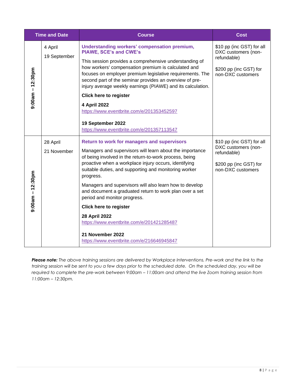<span id="page-7-1"></span><span id="page-7-0"></span>

| <b>Time and Date</b> |                         | <b>Course</b>                                                                                                                                                                                                                                                                                                                                                                                                                                                                                                                                                                                                                 | <b>Cost</b>                                                                                                    |
|----------------------|-------------------------|-------------------------------------------------------------------------------------------------------------------------------------------------------------------------------------------------------------------------------------------------------------------------------------------------------------------------------------------------------------------------------------------------------------------------------------------------------------------------------------------------------------------------------------------------------------------------------------------------------------------------------|----------------------------------------------------------------------------------------------------------------|
| $9:00$ am – 12:30pm  | 4 April<br>19 September | <b>Understanding workers' compensation premium,</b><br><b>PIAWE, SCE's and CWE's</b><br>This session provides a comprehensive understanding of<br>how workers' compensation premium is calculated and<br>focuses on employer premium legislative requirements. The<br>second part of the seminar provides an overview of pre-<br>injury average weekly earnings (PIAWE) and its calculation.<br><b>Click here to register</b><br>4 April 2022<br>https://www.eventbrite.com/e/201353452597<br>19 September 2022<br>https://www.eventbrite.com/e/201357113547                                                                  | \$10 pp (inc GST) for all<br>DXC customers (non-<br>refundable)<br>\$200 pp (inc GST) for<br>non-DXC customers |
| $9:00$ am – 12:30pm  | 28 April<br>21 November | <b>Return to work for managers and supervisors</b><br>Managers and supervisors will learn about the importance<br>of being involved in the return-to-work process, being<br>proactive when a workplace injury occurs, identifying<br>suitable duties, and supporting and monitoring worker<br>progress.<br>Managers and supervisors will also learn how to develop<br>and document a graduated return to work plan over a set<br>period and monitor progress.<br><b>Click here to register</b><br>28 April 2022<br>https://www.eventbrite.com/e/201421285487<br>21 November 2022<br>https://www.eventbrite.com/e/216646945847 | \$10 pp (inc GST) for all<br>DXC customers (non-<br>refundable)<br>\$200 pp (inc GST) for<br>non-DXC customers |

*Please note: The above training sessions are delivered by Workplace Interventions. Pre-work and the link to the training session will be sent to you a few days prior to the scheduled date. On the scheduled day, you will be required to complete the pre-work between 9:00am - 11:00am and attend the live Zoom training session from 11:00am – 12:30pm.*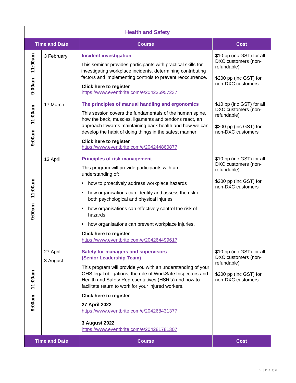<span id="page-8-4"></span><span id="page-8-3"></span><span id="page-8-2"></span><span id="page-8-1"></span><span id="page-8-0"></span>

| <b>Health and Safety</b> |                      |                                                                                                                                                                                                                                                                                                                                                                                                                                                                                        |                                                                                                                |  |
|--------------------------|----------------------|----------------------------------------------------------------------------------------------------------------------------------------------------------------------------------------------------------------------------------------------------------------------------------------------------------------------------------------------------------------------------------------------------------------------------------------------------------------------------------------|----------------------------------------------------------------------------------------------------------------|--|
|                          | <b>Time and Date</b> | <b>Course</b>                                                                                                                                                                                                                                                                                                                                                                                                                                                                          | <b>Cost</b>                                                                                                    |  |
| $9:00$ am $-11:00$ am    | 3 February           | <b>Incident investigation</b><br>This seminar provides participants with practical skills for<br>investigating workplace incidents, determining contributing<br>factors and implementing controls to prevent reoccurrence.<br><b>Click here to register</b><br>https://www.eventbrite.com/e/204236957237                                                                                                                                                                               | \$10 pp (inc GST) for all<br>DXC customers (non-<br>refundable)<br>\$200 pp (inc GST) for<br>non-DXC customers |  |
| $9:00$ am $-11:00$ am    | 17 March             | The principles of manual handling and ergonomics<br>This session covers the fundamentals of the human spine,<br>how the back, muscles, ligaments and tendons react, an<br>approach towards maintaining back health and how we can<br>develop the habit of doing things in the safest manner.<br><b>Click here to register</b><br>https://www.eventbrite.com/e/204244860877                                                                                                             | \$10 pp (inc GST) for all<br>DXC customers (non-<br>refundable)<br>\$200 pp (inc GST) for<br>non-DXC customers |  |
| $9:00$ am – 11:00am      | 13 April             | <b>Principles of risk management</b><br>This program will provide participants with an<br>understanding of:<br>how to proactively address workplace hazards<br>٠<br>how organisations can identify and assess the risk of<br>٠<br>both psychological and physical injuries<br>how organisations can effectively control the risk of<br>hazards<br>how organisations can prevent workplace injuries.<br>п<br><b>Click here to register</b><br>https://www.eventbrite.com/e/204264499617 | \$10 pp (inc GST) for all<br>DXC customers (non-<br>refundable)<br>\$200 pp (inc GST) for<br>non-DXC customers |  |
| $9:00$ am – 11:00am      | 27 April<br>3 August | <b>Safety for managers and supervisors</b><br>(Senior Leadership Team)<br>This program will provide you with an understanding of your<br>OHS legal obligations, the role of WorkSafe Inspectors and<br>Health and Safety Representatives (HSR's) and how to<br>facilitate return to work for your injured workers.<br><b>Click here to register</b><br>27 April 2022<br>https://www.eventbrite.com/e/204268431377<br>3 August 2022<br>https://www.eventbrite.com/e/204281781307        | \$10 pp (inc GST) for all<br>DXC customers (non-<br>refundable)<br>\$200 pp (inc GST) for<br>non-DXC customers |  |
| <b>Time and Date</b>     |                      | <b>Course</b>                                                                                                                                                                                                                                                                                                                                                                                                                                                                          | <b>Cost</b>                                                                                                    |  |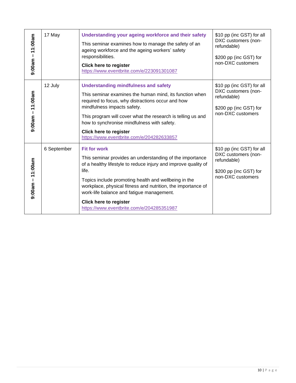<span id="page-9-2"></span><span id="page-9-1"></span><span id="page-9-0"></span>

| $9:00$ am $-11:00$ am | 17 May      | Understanding your ageing workforce and their safety<br>This seminar examines how to manage the safety of an<br>ageing workforce and the ageing workers' safety<br>responsibilities.<br><b>Click here to register</b><br>https://www.eventbrite.com/e/223091301087                                                                                                                                            | \$10 pp (inc GST) for all<br>DXC customers (non-<br>refundable)<br>\$200 pp (inc GST) for<br>non-DXC customers |
|-----------------------|-------------|---------------------------------------------------------------------------------------------------------------------------------------------------------------------------------------------------------------------------------------------------------------------------------------------------------------------------------------------------------------------------------------------------------------|----------------------------------------------------------------------------------------------------------------|
| $9:00$ am $-11:00$ am | 12 July     | <b>Understanding mindfulness and safety</b><br>This seminar examines the human mind, its function when<br>required to focus, why distractions occur and how<br>mindfulness impacts safety.<br>This program will cover what the research is telling us and<br>how to synchronise mindfulness with safety.<br><b>Click here to register</b><br>https://www.eventbrite.com/e/204282633857                        | \$10 pp (inc GST) for all<br>DXC customers (non-<br>refundable)<br>\$200 pp (inc GST) for<br>non-DXC customers |
| $9:00$ am – 11:00am   | 6 September | <b>Fit for work</b><br>This seminar provides an understanding of the importance<br>of a healthy lifestyle to reduce injury and improve quality of<br>life.<br>Topics include promoting health and wellbeing in the<br>workplace, physical fitness and nutrition, the importance of<br>work-life balance and fatigue management.<br><b>Click here to register</b><br>https://www.eventbrite.com/e/204285351987 | \$10 pp (inc GST) for all<br>DXC customers (non-<br>refundable)<br>\$200 pp (inc GST) for<br>non-DXC customers |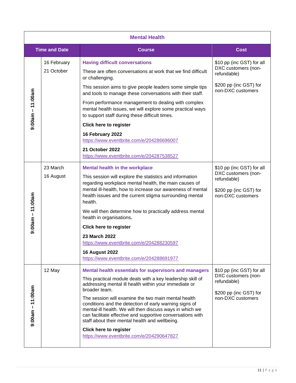<span id="page-10-3"></span><span id="page-10-2"></span><span id="page-10-1"></span><span id="page-10-0"></span>

| <b>Mental Health</b> |                           |                                                                                                                                                                                                                                                                                                                                                                                                                                                                                                                                                                                            |                                                                                                                |  |
|----------------------|---------------------------|--------------------------------------------------------------------------------------------------------------------------------------------------------------------------------------------------------------------------------------------------------------------------------------------------------------------------------------------------------------------------------------------------------------------------------------------------------------------------------------------------------------------------------------------------------------------------------------------|----------------------------------------------------------------------------------------------------------------|--|
|                      | <b>Time and Date</b>      | <b>Course</b>                                                                                                                                                                                                                                                                                                                                                                                                                                                                                                                                                                              | <b>Cost</b>                                                                                                    |  |
| $9:00$ am – 11:00am  | 16 February<br>21 October | <b>Having difficult conversations</b><br>These are often conversations at work that we find difficult<br>or challenging.<br>This session aims to give people leaders some simple tips<br>and tools to manage these conversations with their staff.<br>From performance management to dealing with complex<br>mental health issues, we will explore some practical ways<br>to support staff during these difficult times.<br><b>Click here to register</b><br>16 February 2022<br>https://www.eventbrite.com/e/204286696007<br>21 October 2022<br>https://www.eventbrite.com/e/204287538527 | \$10 pp (inc GST) for all<br>DXC customers (non-<br>refundable)<br>\$200 pp (inc GST) for<br>non-DXC customers |  |
| $9:00$ am – 11:00am  | 23 March<br>16 August     | <b>Mental health in the workplace</b><br>This session will explore the statistics and information<br>regarding workplace mental health, the main causes of<br>mental ill-health, how to increase our awareness of mental<br>health issues and the current stigma surrounding mental<br>health.<br>We will then determine how to practically address mental<br>health in organisations.<br><b>Click here to register</b><br>23 March 2022<br>https://www.eventbrite.com/e/204288230597<br><b>16 August 2022</b><br>https://www.eventbrite.com/e/204288691977                                | \$10 pp (inc GST) for all<br>DXC customers (non-<br>refundable)<br>\$200 pp (inc GST) for<br>non-DXC customers |  |
| $9:00$ am – 11:00am  | 12 May                    | Mental health essentials for supervisors and managers<br>This practical module deals with a key leadership skill of<br>addressing mental ill health within your immediate or<br>broader team.<br>The session will examine the two main mental health<br>conditions and the detection of early warning signs of<br>mental-ill health. We will then discuss ways in which we<br>can facilitate effective and supportive conversations with<br>staff about their mental health and wellbeing.<br><b>Click here to register</b><br>https://www.eventbrite.com/e/204290647827                   | \$10 pp (inc GST) for all<br>DXC customers (non-<br>refundable)<br>\$200 pp (inc GST) for<br>non-DXC customers |  |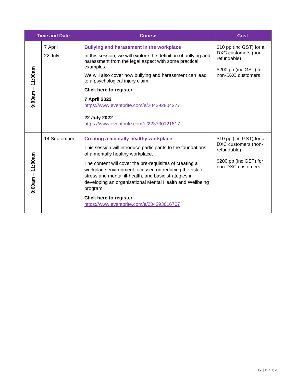<span id="page-11-1"></span><span id="page-11-0"></span>

| <b>Time and Date</b> |                    | <b>Course</b>                                                                                                                                                                                                                                                                                                                                                                                                                                                                       | <b>Cost</b>                                                                                                    |
|----------------------|--------------------|-------------------------------------------------------------------------------------------------------------------------------------------------------------------------------------------------------------------------------------------------------------------------------------------------------------------------------------------------------------------------------------------------------------------------------------------------------------------------------------|----------------------------------------------------------------------------------------------------------------|
| $9:00$ am – 11:00am  | 7 April<br>22 July | <b>Bullying and harassment in the workplace</b><br>In this session, we will explore the definition of bullying and<br>harassment from the legal aspect with some practical<br>examples.<br>We will also cover how bullying and harassment can lead<br>to a psychological injury claim.<br><b>Click here to register</b><br><b>7 April 2022</b><br>https://www.eventbrite.com/e/204292804277<br>22 July 2022<br>https://www.eventbrite.com/e/223730121817                            | \$10 pp (inc GST) for all<br>DXC customers (non-<br>refundable)<br>\$200 pp (inc GST) for<br>non-DXC customers |
| $9:00$ am – 11:00am  | 14 September       | <b>Creating a mentally healthy workplace</b><br>This session will introduce participants to the foundations<br>of a mentally healthy workplace.<br>The content will cover the pre-requisites of creating a<br>workplace environment focussed on reducing the risk of<br>stress and mental ill-health, and basic strategies in<br>developing an organisational Mental Health and Wellbeing<br>program.<br><b>Click here to register</b><br>https://www.eventbrite.com/e/204293616707 | \$10 pp (inc GST) for all<br>DXC customers (non-<br>refundable)<br>\$200 pp (inc GST) for<br>non-DXC customers |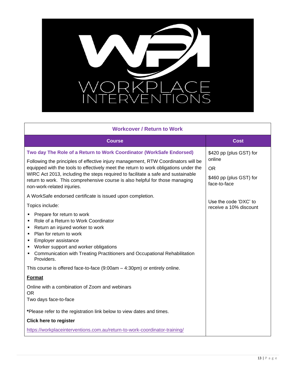

<span id="page-12-0"></span>

| <b>Workcover / Return to Work</b>                                                                                                                                                                                                                                                                                                                                                                                                                   |                                                                                           |
|-----------------------------------------------------------------------------------------------------------------------------------------------------------------------------------------------------------------------------------------------------------------------------------------------------------------------------------------------------------------------------------------------------------------------------------------------------|-------------------------------------------------------------------------------------------|
| <b>Course</b>                                                                                                                                                                                                                                                                                                                                                                                                                                       | <b>Cost</b>                                                                               |
| Two day The Role of a Return to Work Coordinator (WorkSafe Endorsed)<br>Following the principles of effective injury management, RTW Coordinators will be<br>equipped with the tools to effectively meet the return to work obligations under the<br>WIRC Act 2013, including the steps required to facilitate a safe and sustainable<br>return to work. This comprehensive course is also helpful for those managing<br>non-work-related injuries. | \$420 pp (plus GST) for<br>online<br><b>OR</b><br>\$460 pp (plus GST) for<br>face-to-face |
| A WorkSafe endorsed certificate is issued upon completion.<br>Topics include:<br>Prepare for return to work<br>٠<br>Role of a Return to Work Coordinator<br>٠<br>Return an injured worker to work<br>٠<br>Plan for return to work<br>٠<br>Employer assistance<br>٠<br>Worker support and worker obligations<br>٠<br>Communication with Treating Practitioners and Occupational Rehabilitation<br>٠<br>Providers.                                    | Use the code 'DXC' to<br>receive a 10% discount                                           |
| This course is offered face-to-face $(9:00am - 4:30pm)$ or entirely online.<br>Format                                                                                                                                                                                                                                                                                                                                                               |                                                                                           |
| Online with a combination of Zoom and webinars<br><b>OR</b><br>Two days face-to-face<br>*Please refer to the registration link below to view dates and times.<br><b>Click here to register</b><br>https://workplaceinterventions.com.au/return-to-work-coordinator-training/                                                                                                                                                                        |                                                                                           |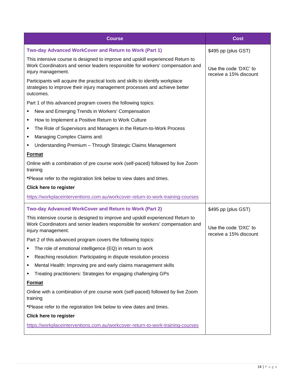<span id="page-13-1"></span><span id="page-13-0"></span>

| <b>Course</b>                                                                                                                                                                          | <b>Cost</b>                                     |
|----------------------------------------------------------------------------------------------------------------------------------------------------------------------------------------|-------------------------------------------------|
| Two-day Advanced WorkCover and Return to Work (Part 1)                                                                                                                                 | \$495 pp (plus GST)                             |
| This intensive course is designed to improve and upskill experienced Return to<br>Work Coordinators and senior leaders responsible for workers' compensation and<br>injury management. | Use the code 'DXC' to<br>receive a 15% discount |
| Participants will acquire the practical tools and skills to identify workplace<br>strategies to improve their injury management processes and achieve better<br>outcomes.              |                                                 |
| Part 1 of this advanced program covers the following topics:                                                                                                                           |                                                 |
| New and Emerging Trends in Workers' Compensation<br>٠                                                                                                                                  |                                                 |
| How to Implement a Positive Return to Work Culture<br>٠                                                                                                                                |                                                 |
| The Role of Supervisors and Managers in the Return-to-Work Process<br>٠                                                                                                                |                                                 |
| Managing Complex Claims and:<br>٠                                                                                                                                                      |                                                 |
| Understanding Premium - Through Strategic Claims Management<br>٠                                                                                                                       |                                                 |
| Format                                                                                                                                                                                 |                                                 |
| Online with a combination of pre course work (self-paced) followed by live Zoom<br>training                                                                                            |                                                 |
| *Please refer to the registration link below to view dates and times.                                                                                                                  |                                                 |
| <b>Click here to register</b>                                                                                                                                                          |                                                 |
| https://workplaceinterventions.com.au/workcover-return-to-work-training-courses                                                                                                        |                                                 |
| Two-day Advanced WorkCover and Return to Work (Part 2)                                                                                                                                 | \$495 pp (plus GST)                             |
| This intensive course is designed to improve and upskill experienced Return to<br>Work Coordinators and senior leaders responsible for workers' compensation and<br>injury management. | Use the code 'DXC' to<br>receive a 15% discount |
| Part 2 of this advanced program covers the following topics:                                                                                                                           |                                                 |
| The role of emotional intelligence (EQ) in return to work                                                                                                                              |                                                 |
| Reaching resolution: Participating in dispute resolution process                                                                                                                       |                                                 |
| Mental Health: Improving pre and early claims management skills<br>п                                                                                                                   |                                                 |
| Treating practitioners: Strategies for engaging challenging GPs<br>٠                                                                                                                   |                                                 |
| <b>Format</b>                                                                                                                                                                          |                                                 |
| Online with a combination of pre course work (self-paced) followed by live Zoom<br>training                                                                                            |                                                 |
| *Please refer to the registration link below to view dates and times.                                                                                                                  |                                                 |
| <b>Click here to register</b>                                                                                                                                                          |                                                 |
| https://workplaceinterventions.com.au/workcover-return-to-work-training-courses                                                                                                        |                                                 |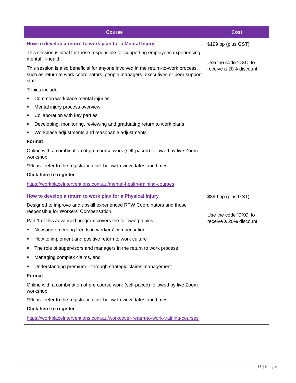<span id="page-14-1"></span><span id="page-14-0"></span>

| <b>Course</b>                                                                                                                                                                    | <b>Cost</b>            |
|----------------------------------------------------------------------------------------------------------------------------------------------------------------------------------|------------------------|
| How to develop a return to work plan for a Mental Injury                                                                                                                         | \$199 pp (plus GST)    |
| This session is ideal for those responsible for supporting employees experiencing<br>mental ill-health.                                                                          | Use the code 'DXC' to  |
| This session is also beneficial for anyone involved in the return-to-work process,<br>such as return to work coordinators, people managers, executives or peer support<br>staff. | receive a 20% discount |
| Topics include:                                                                                                                                                                  |                        |
| Common workplace mental injuries                                                                                                                                                 |                        |
| Mental injury process overview<br>٠                                                                                                                                              |                        |
| Collaboration with key parties<br>٠                                                                                                                                              |                        |
| Developing, monitoring, reviewing and graduating return to work plans<br>٠                                                                                                       |                        |
| Workplace adjustments and reasonable adjustments<br>٠                                                                                                                            |                        |
| <b>Format</b>                                                                                                                                                                    |                        |
| Online with a combination of pre course work (self-paced) followed by live Zoom<br>workshop.                                                                                     |                        |
| *Please refer to the registration link below to view dates and times.                                                                                                            |                        |
| <b>Click here to register</b>                                                                                                                                                    |                        |
| https://workplaceinterventions.com.au/mental-health-training-courses                                                                                                             |                        |
| How to develop a return to work plan for a Physical Injury                                                                                                                       | \$399 pp (plus GST)    |
| Designed to improve and upskill experienced RTW Coordinators and those<br>responsible for Workers' Compensation.                                                                 | Use the code 'DXC' to  |
| Part 1 of this advanced program covers the following topics:                                                                                                                     | receive a 20% discount |
| New and emerging trends in workers' compensation                                                                                                                                 |                        |
| How to implement and positive return to work culture                                                                                                                             |                        |
| The role of supervisors and managers in the return to work process<br>٠                                                                                                          |                        |
| Managing complex claims, and<br>٠                                                                                                                                                |                        |
| Understanding premium - through strategic claims management<br>٠                                                                                                                 |                        |
| <b>Format</b>                                                                                                                                                                    |                        |
| Online with a combination of pre course work (self-paced) followed by live Zoom<br>workshop.                                                                                     |                        |
| *Please refer to the registration link below to view dates and times.                                                                                                            |                        |
| <b>Click here to register</b>                                                                                                                                                    |                        |
| https://workplaceinterventions.com.au/workcover-return-to-work-training-courses                                                                                                  |                        |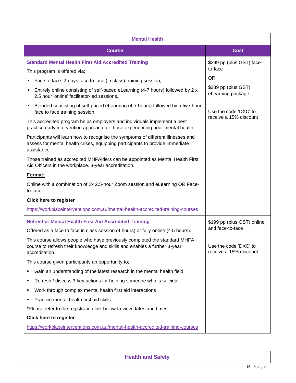<span id="page-15-1"></span><span id="page-15-0"></span>

| <b>Mental Health</b>                                                                                                                                                            |                                                 |
|---------------------------------------------------------------------------------------------------------------------------------------------------------------------------------|-------------------------------------------------|
| <b>Course</b>                                                                                                                                                                   | <b>Cost</b>                                     |
| <b>Standard Mental Health First Aid Accredited Training</b>                                                                                                                     | \$399 pp (plus GST) face-<br>to-face            |
| This program is offered via;                                                                                                                                                    | <b>OR</b>                                       |
| Face to face: 2-days face to face (in class) training session,                                                                                                                  | \$289 pp (plus GST)                             |
| Entirely online consisting of self-paced eLearning (4-7 hours) followed by 2 x<br>٠<br>2.5 hour 'online' facilitator-led sessions,                                              | eLearning package                               |
| Blended consisting of self-paced eLearning (4-7 hours) followed by a five-hour<br>٠<br>face to face training session.                                                           | Use the code 'DXC' to                           |
| This accredited program helps employers and individuals implement a best<br>practice early intervention approach for those experiencing poor mental health.                     | receive a 15% discount                          |
| Participants will learn how to recognise the symptoms of different illnesses and<br>assess for mental health crises, equipping participants to provide immediate<br>assistance. |                                                 |
| Those trained as accredited MHFAiders can be appointed as Mental Health First<br>Aid Officers in the workplace. 3-year accreditation.                                           |                                                 |
| Format:                                                                                                                                                                         |                                                 |
| Online with a combination of 2x 2.5-hour Zoom session and eLearning OR Face-<br>to-face                                                                                         |                                                 |
| <b>Click here to register</b>                                                                                                                                                   |                                                 |
| https://workplaceinterventions.com.au/mental-health-accredited-training-courses                                                                                                 |                                                 |
| <b>Refresher Mental Health First Aid Accredited Training</b>                                                                                                                    | \$199 pp (plus GST) online                      |
| Offered as a face to face in class session (4 hours) or fully online (4.5 hours).                                                                                               | and face-to-face                                |
| This course allows people who have previously completed the standard MHFA<br>course to refresh their knowledge and skills and enables a further 3-year<br>accreditation.        | Use the code 'DXC' to<br>receive a 15% discount |
| This course given participants an opportunity to;                                                                                                                               |                                                 |
| Gain an understanding of the latest research in the mental health field<br>٠                                                                                                    |                                                 |
| Refresh / discuss 3 key actions for helping someone who is suicidal<br>٠                                                                                                        |                                                 |
| Work through complex mental health first aid interactions<br>٠                                                                                                                  |                                                 |
| Practice mental health first aid skills.<br>٠                                                                                                                                   |                                                 |
| *Please refer to the registration link below to view dates and times.                                                                                                           |                                                 |
| <b>Click here to register</b>                                                                                                                                                   |                                                 |
| https://workplaceinterventions.com.au/mental-health-accredited-training-courses                                                                                                 |                                                 |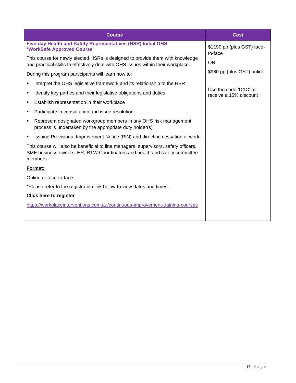<span id="page-16-0"></span>

| <b>Course</b>                                                                                                                                                                | Cost                                            |
|------------------------------------------------------------------------------------------------------------------------------------------------------------------------------|-------------------------------------------------|
| Five-day Health and Safety Representatives (HSR) Initial OHS<br>*WorkSafe Approved Course                                                                                    | \$1190 pp (plus GST) face-<br>to-face           |
| This course for newly elected HSRs is designed to provide them with knowledge<br>and practical skills to effectively deal with OHS issues within their workplace.            | OR.                                             |
| During this program participants will learn how to:                                                                                                                          | \$980 pp (plus GST) online                      |
| Interpret the OHS legislative framework and its relationship to the HSR<br>٠                                                                                                 |                                                 |
| Identify key parties and their legislative obligations and duties<br>٠                                                                                                       | Use the code 'DXC' to<br>receive a 15% discount |
| Establish representation in their workplace<br>٠                                                                                                                             |                                                 |
| Participate in consultation and issue resolution<br>٠                                                                                                                        |                                                 |
| Represent designated workgroup members in any OHS risk management<br>٠<br>process is undertaken by the appropriate duty holder(s)                                            |                                                 |
| Issuing Provisional Improvement Notice (PIN) and directing cessation of work.                                                                                                |                                                 |
| This course will also be beneficial to line managers, supervisors, safety officers,<br>SME business owners, HR, RTW Coordinators and health and safety committee<br>members. |                                                 |
| Format:                                                                                                                                                                      |                                                 |
| Online or face-to-face                                                                                                                                                       |                                                 |
| *Please refer to the registration link below to view dates and times.                                                                                                        |                                                 |
| <b>Click here to register</b>                                                                                                                                                |                                                 |
| https://workplaceinterventions.com.au/continuous-improvement-training-courses                                                                                                |                                                 |
|                                                                                                                                                                              |                                                 |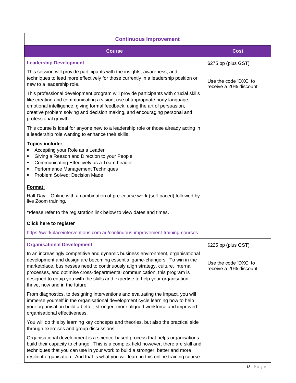<span id="page-17-1"></span><span id="page-17-0"></span>

| <b>Continuous Improvement</b>                                                                                                                                                                                                                                                                                                                                                                                                                   |                                                 |  |  |
|-------------------------------------------------------------------------------------------------------------------------------------------------------------------------------------------------------------------------------------------------------------------------------------------------------------------------------------------------------------------------------------------------------------------------------------------------|-------------------------------------------------|--|--|
| <b>Course</b>                                                                                                                                                                                                                                                                                                                                                                                                                                   | Cost                                            |  |  |
| <b>Leadership Development</b>                                                                                                                                                                                                                                                                                                                                                                                                                   | \$275 pp (plus GST)                             |  |  |
| This session will provide participants with the insights, awareness, and<br>techniques to lead more effectively for those currently in a leadership position or<br>new to a leadership role.                                                                                                                                                                                                                                                    | Use the code 'DXC' to<br>receive a 20% discount |  |  |
| This professional development program will provide participants with crucial skills<br>like creating and communicating a vision, use of appropriate body language,<br>emotional intelligence, giving formal feedback, using the art of persuasion,<br>creative problem solving and decision making, and encouraging personal and<br>professional growth.                                                                                        |                                                 |  |  |
| This course is ideal for anyone new to a leadership role or those already acting in<br>a leadership role wanting to enhance their skills.                                                                                                                                                                                                                                                                                                       |                                                 |  |  |
| <b>Topics include:</b><br>Accepting your Role as a Leader<br>Giving a Reason and Direction to your People<br>٠<br>Communicating Effectively as a Team Leader<br>٠<br>Performance Management Techniques<br>Problem Solved; Decision Made<br>٠                                                                                                                                                                                                    |                                                 |  |  |
| Format:<br>Half Day – Online with a combination of pre-course work (self-paced) followed by<br>live Zoom training.                                                                                                                                                                                                                                                                                                                              |                                                 |  |  |
| *Please refer to the registration link below to view dates and times.                                                                                                                                                                                                                                                                                                                                                                           |                                                 |  |  |
| <b>Click here to register</b><br>https://workplaceinterventions.com.au/continuous-improvement-training-courses                                                                                                                                                                                                                                                                                                                                  |                                                 |  |  |
| <b>Organisational Development</b>                                                                                                                                                                                                                                                                                                                                                                                                               | \$225 pp (plus GST)                             |  |  |
| In an increasingly competitive and dynamic business environment, organisational<br>development and design are becoming essential game-changers. To win in the<br>marketplace, businesses need to continuously align strategy, culture, internal<br>processes, and optimise cross-departmental communication, this program is<br>designed to equip you with the skills and expertise to help your organisation<br>thrive, now and in the future. | Use the code 'DXC' to<br>receive a 20% discount |  |  |
| From diagnostics, to designing interventions and evaluating the impact, you will<br>immerse yourself in the organisational development cycle learning how to help<br>your organisation build a better, stronger, more aligned workforce and improved<br>organisational effectiveness.                                                                                                                                                           |                                                 |  |  |
| You will do this by learning key concepts and theories, but also the practical side<br>through exercises and group discussions.                                                                                                                                                                                                                                                                                                                 |                                                 |  |  |
| Organisational development is a science-based process that helps organisations<br>build their capacity to change. This is a complex field however, there are skill and<br>techniques that you can use in your work to build a stronger, better and more<br>resilient organisation. And that is what you will learn in this online training course.                                                                                              |                                                 |  |  |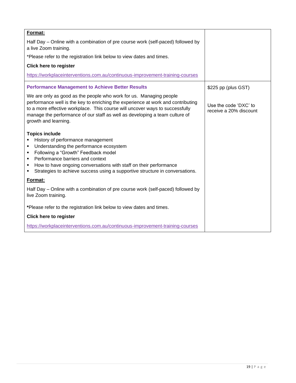<span id="page-18-0"></span>

| Format:                                                                                                                                                                                                                                                                                                                                                        |                                                 |
|----------------------------------------------------------------------------------------------------------------------------------------------------------------------------------------------------------------------------------------------------------------------------------------------------------------------------------------------------------------|-------------------------------------------------|
| Half Day – Online with a combination of pre course work (self-paced) followed by<br>a live Zoom training.                                                                                                                                                                                                                                                      |                                                 |
| *Please refer to the registration link below to view dates and times.                                                                                                                                                                                                                                                                                          |                                                 |
| <b>Click here to register</b>                                                                                                                                                                                                                                                                                                                                  |                                                 |
| https://workplaceinterventions.com.au/continuous-improvement-training-courses                                                                                                                                                                                                                                                                                  |                                                 |
| <b>Performance Management to Achieve Better Results</b>                                                                                                                                                                                                                                                                                                        | \$225 pp (plus GST)                             |
| We are only as good as the people who work for us. Managing people<br>performance well is the key to enriching the experience at work and contributing<br>to a more effective workplace. This course will uncover ways to successfully<br>manage the performance of our staff as well as developing a team culture of<br>growth and learning.                  | Use the code 'DXC' to<br>receive a 20% discount |
| <b>Topics include</b><br>History of performance management<br>Understanding the performance ecosystem<br>٠<br>Following a "Growth" Feedback model<br>٠<br>Performance barriers and context<br>٠<br>How to have ongoing conversations with staff on their performance<br>٠<br>Strategies to achieve success using a supportive structure in conversations.<br>٠ |                                                 |
| Format:                                                                                                                                                                                                                                                                                                                                                        |                                                 |
| Half Day – Online with a combination of pre course work (self-paced) followed by<br>live Zoom training.                                                                                                                                                                                                                                                        |                                                 |
| *Please refer to the registration link below to view dates and times.                                                                                                                                                                                                                                                                                          |                                                 |
| <b>Click here to register</b>                                                                                                                                                                                                                                                                                                                                  |                                                 |
| https://workplaceinterventions.com.au/continuous-improvement-training-courses                                                                                                                                                                                                                                                                                  |                                                 |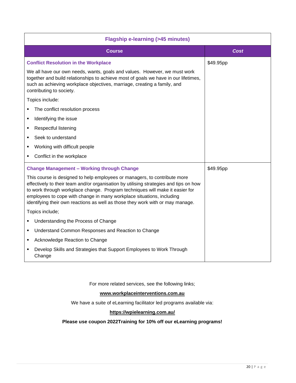<span id="page-19-1"></span><span id="page-19-0"></span>

| <b>Flagship e-learning (&gt;45 minutes)</b>                                                                                                                                                                                                                                                                                                                                                                   |           |
|---------------------------------------------------------------------------------------------------------------------------------------------------------------------------------------------------------------------------------------------------------------------------------------------------------------------------------------------------------------------------------------------------------------|-----------|
| <b>Course</b>                                                                                                                                                                                                                                                                                                                                                                                                 | Cost      |
| <b>Conflict Resolution in the Workplace</b>                                                                                                                                                                                                                                                                                                                                                                   | \$49.95pp |
| We all have our own needs, wants, goals and values. However, we must work<br>together and build relationships to achieve most of goals we have in our lifetimes,<br>such as achieving workplace objectives, marriage, creating a family, and<br>contributing to society.                                                                                                                                      |           |
| Topics include:                                                                                                                                                                                                                                                                                                                                                                                               |           |
| The conflict resolution process                                                                                                                                                                                                                                                                                                                                                                               |           |
| Identifying the issue                                                                                                                                                                                                                                                                                                                                                                                         |           |
| Respectful listening                                                                                                                                                                                                                                                                                                                                                                                          |           |
| Seek to understand                                                                                                                                                                                                                                                                                                                                                                                            |           |
| Working with difficult people                                                                                                                                                                                                                                                                                                                                                                                 |           |
| Conflict in the workplace                                                                                                                                                                                                                                                                                                                                                                                     |           |
| <b>Change Management - Working through Change</b>                                                                                                                                                                                                                                                                                                                                                             | \$49.95pp |
| This course is designed to help employees or managers, to contribute more<br>effectively to their team and/or organisation by utilising strategies and tips on how<br>to work through workplace change. Program techniques will make it easier for<br>employees to cope with change in many workplace situations, including<br>identifying their own reactions as well as those they work with or may manage. |           |
| Topics include;                                                                                                                                                                                                                                                                                                                                                                                               |           |
| Understanding the Process of Change                                                                                                                                                                                                                                                                                                                                                                           |           |
| Understand Common Responses and Reaction to Change<br>٠                                                                                                                                                                                                                                                                                                                                                       |           |
| Acknowledge Reaction to Change                                                                                                                                                                                                                                                                                                                                                                                |           |
| Develop Skills and Strategies that Support Employees to Work Through<br>Change                                                                                                                                                                                                                                                                                                                                |           |

For more related services, see the following links;

## **[www.workplaceinterventions.com.au](http://www.workplaceinterventions.com.au/)**

We have a suite of eLearning facilitator led programs available via:

## **<https://wpielearning.com.au/>**

**Please use coupon 2022Training for 10% off our eLearning programs!**